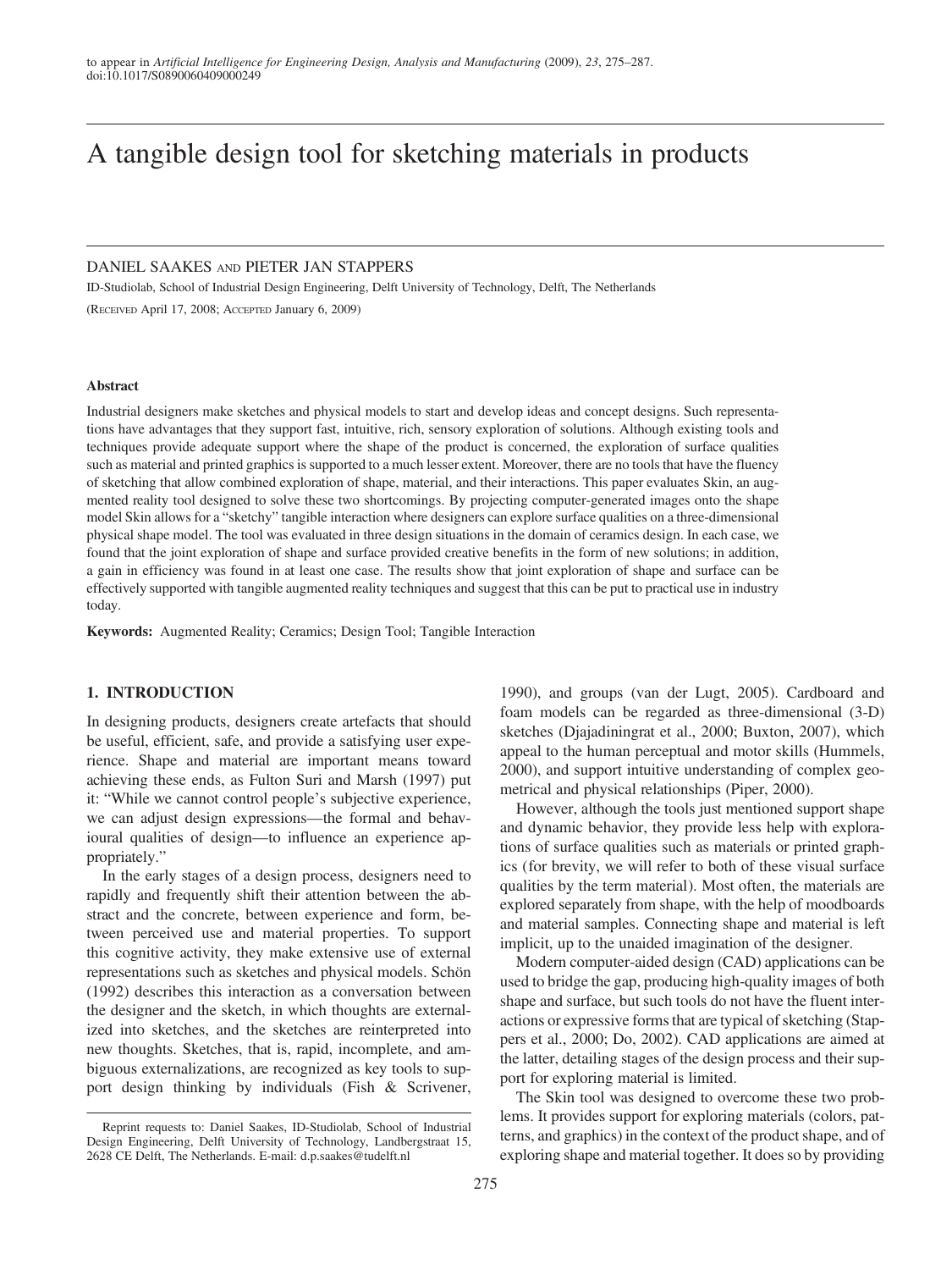# A tangible design tool for sketching materials in products

# DANIEL SAAKES AND PIETER JAN STAPPERS

ID-Studiolab, School of Industrial Design Engineering, Delft University of Technology, Delft, The Netherlands

(RECEIVED April 17, 2008; ACCEPTED January 6, 2009)

## Abstract

Industrial designers make sketches and physical models to start and develop ideas and concept designs. Such representations have advantages that they support fast, intuitive, rich, sensory exploration of solutions. Although existing tools and techniques provide adequate support where the shape of the product is concerned, the exploration of surface qualities such as material and printed graphics is supported to a much lesser extent. Moreover, there are no tools that have the fluency of sketching that allow combined exploration of shape, material, and their interactions. This paper evaluates Skin, an augmented reality tool designed to solve these two shortcomings. By projecting computer-generated images onto the shape model Skin allows for a "sketchy" tangible interaction where designers can explore surface qualities on a three-dimensional physical shape model. The tool was evaluated in three design situations in the domain of ceramics design. In each case, we found that the joint exploration of shape and surface provided creative benefits in the form of new solutions; in addition, a gain in efficiency was found in at least one case. The results show that joint exploration of shape and surface can be effectively supported with tangible augmented reality techniques and suggest that this can be put to practical use in industry today.

Keywords: Augmented Reality; Ceramics; Design Tool; Tangible Interaction

# 1. INTRODUCTION

In designing products, designers create artefacts that should be useful, efficient, safe, and provide a satisfying user experience. Shape and material are important means toward achieving these ends, as Fulton Suri and Marsh (1997) put it: "While we cannot control people's subjective experience, we can adjust design expressions—the formal and behavioural qualities of design—to influence an experience appropriately."

In the early stages of a design process, designers need to rapidly and frequently shift their attention between the abstract and the concrete, between experience and form, between perceived use and material properties. To support this cognitive activity, they make extensive use of external representations such as sketches and physical models. Schön (1992) describes this interaction as a conversation between the designer and the sketch, in which thoughts are externalized into sketches, and the sketches are reinterpreted into new thoughts. Sketches, that is, rapid, incomplete, and ambiguous externalizations, are recognized as key tools to support design thinking by individuals (Fish & Scrivener,

1990), and groups (van der Lugt, 2005). Cardboard and foam models can be regarded as three-dimensional (3-D) sketches (Djajadiningrat et al., 2000; Buxton, 2007), which appeal to the human perceptual and motor skills (Hummels, 2000), and support intuitive understanding of complex geometrical and physical relationships (Piper, 2000).

However, although the tools just mentioned support shape and dynamic behavior, they provide less help with explorations of surface qualities such as materials or printed graphics (for brevity, we will refer to both of these visual surface qualities by the term material). Most often, the materials are explored separately from shape, with the help of moodboards and material samples. Connecting shape and material is left implicit, up to the unaided imagination of the designer.

Modern computer-aided design (CAD) applications can be used to bridge the gap, producing high-quality images of both shape and surface, but such tools do not have the fluent interactions or expressive forms that are typical of sketching (Stappers et al., 2000; Do, 2002). CAD applications are aimed at the latter, detailing stages of the design process and their support for exploring material is limited.

The Skin tool was designed to overcome these two problems. It provides support for exploring materials (colors, patterns, and graphics) in the context of the product shape, and of exploring shape and material together. It does so by providing

Reprint requests to: Daniel Saakes, ID-Studiolab, School of Industrial Design Engineering, Delft University of Technology, Landbergstraat 15, 2628 CE Delft, The Netherlands. E-mail: d.p.saakes@tudelft.nl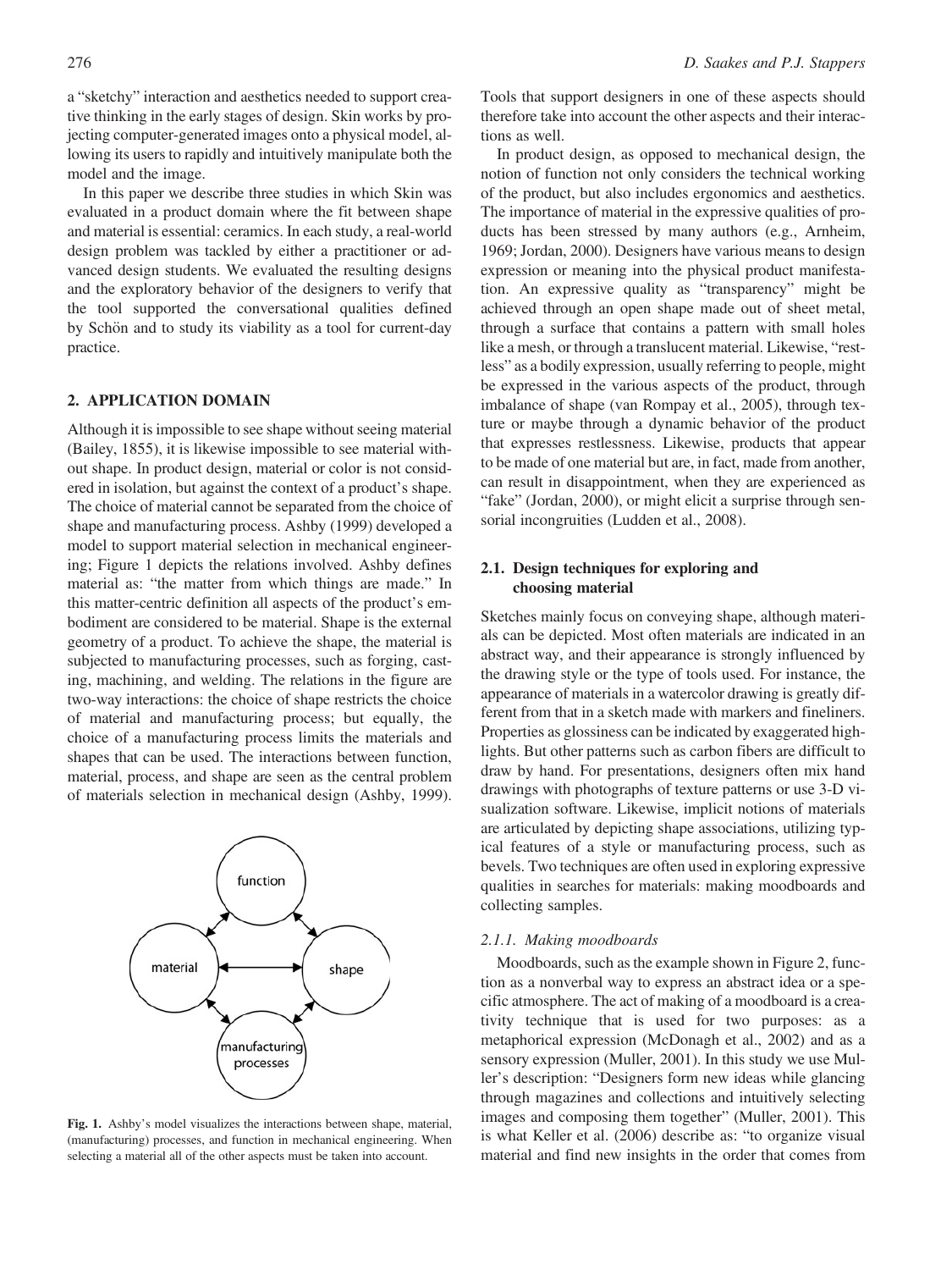a "sketchy" interaction and aesthetics needed to support creative thinking in the early stages of design. Skin works by projecting computer-generated images onto a physical model, allowing its users to rapidly and intuitively manipulate both the model and the image.

In this paper we describe three studies in which Skin was evaluated in a product domain where the fit between shape and material is essential: ceramics. In each study, a real-world design problem was tackled by either a practitioner or advanced design students. We evaluated the resulting designs and the exploratory behavior of the designers to verify that the tool supported the conversational qualities defined by Schön and to study its viability as a tool for current-day practice.

#### 2. APPLICATION DOMAIN

Although it is impossible to see shape without seeing material (Bailey, 1855), it is likewise impossible to see material without shape. In product design, material or color is not considered in isolation, but against the context of a product's shape. The choice of material cannot be separated from the choice of shape and manufacturing process. Ashby (1999) developed a model to support material selection in mechanical engineering; Figure 1 depicts the relations involved. Ashby defines material as: "the matter from which things are made." In this matter-centric definition all aspects of the product's embodiment are considered to be material. Shape is the external geometry of a product. To achieve the shape, the material is subjected to manufacturing processes, such as forging, casting, machining, and welding. The relations in the figure are two-way interactions: the choice of shape restricts the choice of material and manufacturing process; but equally, the choice of a manufacturing process limits the materials and shapes that can be used. The interactions between function, material, process, and shape are seen as the central problem of materials selection in mechanical design (Ashby, 1999).



Fig. 1. Ashby's model visualizes the interactions between shape, material, (manufacturing) processes, and function in mechanical engineering. When selecting a material all of the other aspects must be taken into account.

Tools that support designers in one of these aspects should therefore take into account the other aspects and their interactions as well.

In product design, as opposed to mechanical design, the notion of function not only considers the technical working of the product, but also includes ergonomics and aesthetics. The importance of material in the expressive qualities of products has been stressed by many authors (e.g., Arnheim, 1969; Jordan, 2000). Designers have various means to design expression or meaning into the physical product manifestation. An expressive quality as "transparency" might be achieved through an open shape made out of sheet metal, through a surface that contains a pattern with small holes like a mesh, or through a translucent material. Likewise, "restless" as a bodily expression, usually referring to people, might be expressed in the various aspects of the product, through imbalance of shape (van Rompay et al., 2005), through texture or maybe through a dynamic behavior of the product that expresses restlessness. Likewise, products that appear to be made of one material but are, in fact, made from another, can result in disappointment, when they are experienced as "fake" (Jordan, 2000), or might elicit a surprise through sensorial incongruities (Ludden et al., 2008).

# 2.1. Design techniques for exploring and choosing material

Sketches mainly focus on conveying shape, although materials can be depicted. Most often materials are indicated in an abstract way, and their appearance is strongly influenced by the drawing style or the type of tools used. For instance, the appearance of materials in a watercolor drawing is greatly different from that in a sketch made with markers and fineliners. Properties as glossiness can be indicated by exaggerated highlights. But other patterns such as carbon fibers are difficult to draw by hand. For presentations, designers often mix hand drawings with photographs of texture patterns or use 3-D visualization software. Likewise, implicit notions of materials are articulated by depicting shape associations, utilizing typical features of a style or manufacturing process, such as bevels. Two techniques are often used in exploring expressive qualities in searches for materials: making moodboards and collecting samples.

#### 2.1.1. Making moodboards

Moodboards, such as the example shown in Figure 2, function as a nonverbal way to express an abstract idea or a specific atmosphere. The act of making of a moodboard is a creativity technique that is used for two purposes: as a metaphorical expression (McDonagh et al., 2002) and as a sensory expression (Muller, 2001). In this study we use Muller's description: "Designers form new ideas while glancing through magazines and collections and intuitively selecting images and composing them together" (Muller, 2001). This is what Keller et al. (2006) describe as: "to organize visual material and find new insights in the order that comes from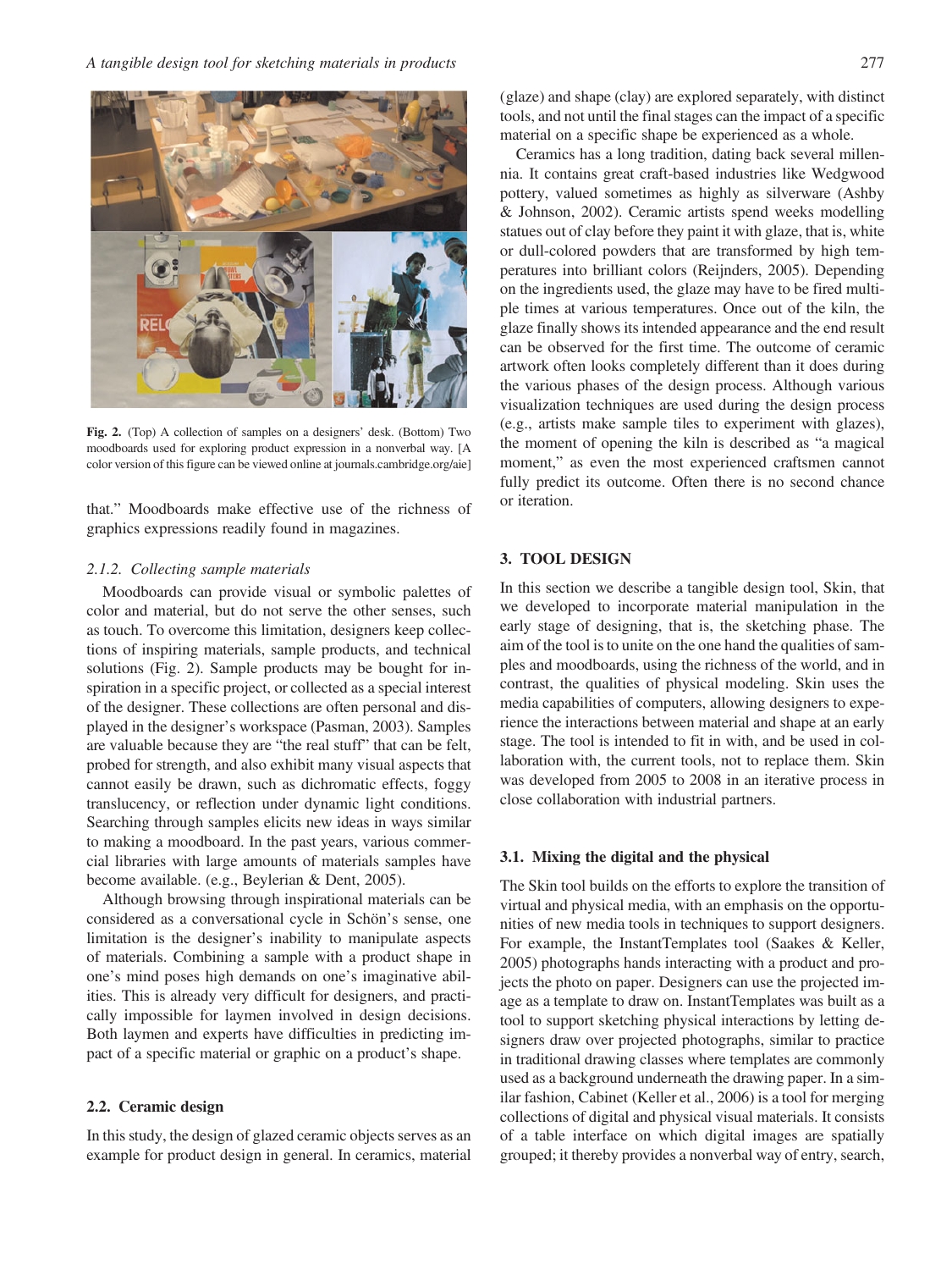

Fig. 2. (Top) A collection of samples on a designers' desk. (Bottom) Two moodboards used for exploring product expression in a nonverbal way. [A color version of this figure can be viewed online at journals.cambridge.org/aie]

that." Moodboards make effective use of the richness of graphics expressions readily found in magazines.

#### 2.1.2. Collecting sample materials

Moodboards can provide visual or symbolic palettes of color and material, but do not serve the other senses, such as touch. To overcome this limitation, designers keep collections of inspiring materials, sample products, and technical solutions (Fig. 2). Sample products may be bought for inspiration in a specific project, or collected as a special interest of the designer. These collections are often personal and displayed in the designer's workspace (Pasman, 2003). Samples are valuable because they are "the real stuff" that can be felt, probed for strength, and also exhibit many visual aspects that cannot easily be drawn, such as dichromatic effects, foggy translucency, or reflection under dynamic light conditions. Searching through samples elicits new ideas in ways similar to making a moodboard. In the past years, various commercial libraries with large amounts of materials samples have become available. (e.g., Beylerian & Dent, 2005).

Although browsing through inspirational materials can be considered as a conversational cycle in Schön's sense, one limitation is the designer's inability to manipulate aspects of materials. Combining a sample with a product shape in one's mind poses high demands on one's imaginative abilities. This is already very difficult for designers, and practically impossible for laymen involved in design decisions. Both laymen and experts have difficulties in predicting impact of a specific material or graphic on a product's shape.

#### 2.2. Ceramic design

In this study, the design of glazed ceramic objects serves as an example for product design in general. In ceramics, material

(glaze) and shape (clay) are explored separately, with distinct tools, and not until the final stages can the impact of a specific material on a specific shape be experienced as a whole.

Ceramics has a long tradition, dating back several millennia. It contains great craft-based industries like Wedgwood pottery, valued sometimes as highly as silverware (Ashby & Johnson, 2002). Ceramic artists spend weeks modelling statues out of clay before they paint it with glaze, that is, white or dull-colored powders that are transformed by high temperatures into brilliant colors (Reijnders, 2005). Depending on the ingredients used, the glaze may have to be fired multiple times at various temperatures. Once out of the kiln, the glaze finally shows its intended appearance and the end result can be observed for the first time. The outcome of ceramic artwork often looks completely different than it does during the various phases of the design process. Although various visualization techniques are used during the design process (e.g., artists make sample tiles to experiment with glazes), the moment of opening the kiln is described as "a magical moment," as even the most experienced craftsmen cannot fully predict its outcome. Often there is no second chance or iteration.

#### 3. TOOL DESIGN

In this section we describe a tangible design tool, Skin, that we developed to incorporate material manipulation in the early stage of designing, that is, the sketching phase. The aim of the tool is to unite on the one hand the qualities of samples and moodboards, using the richness of the world, and in contrast, the qualities of physical modeling. Skin uses the media capabilities of computers, allowing designers to experience the interactions between material and shape at an early stage. The tool is intended to fit in with, and be used in collaboration with, the current tools, not to replace them. Skin was developed from 2005 to 2008 in an iterative process in close collaboration with industrial partners.

#### 3.1. Mixing the digital and the physical

The Skin tool builds on the efforts to explore the transition of virtual and physical media, with an emphasis on the opportunities of new media tools in techniques to support designers. For example, the InstantTemplates tool (Saakes & Keller, 2005) photographs hands interacting with a product and projects the photo on paper. Designers can use the projected image as a template to draw on. InstantTemplates was built as a tool to support sketching physical interactions by letting designers draw over projected photographs, similar to practice in traditional drawing classes where templates are commonly used as a background underneath the drawing paper. In a similar fashion, Cabinet (Keller et al., 2006) is a tool for merging collections of digital and physical visual materials. It consists of a table interface on which digital images are spatially grouped; it thereby provides a nonverbal way of entry, search,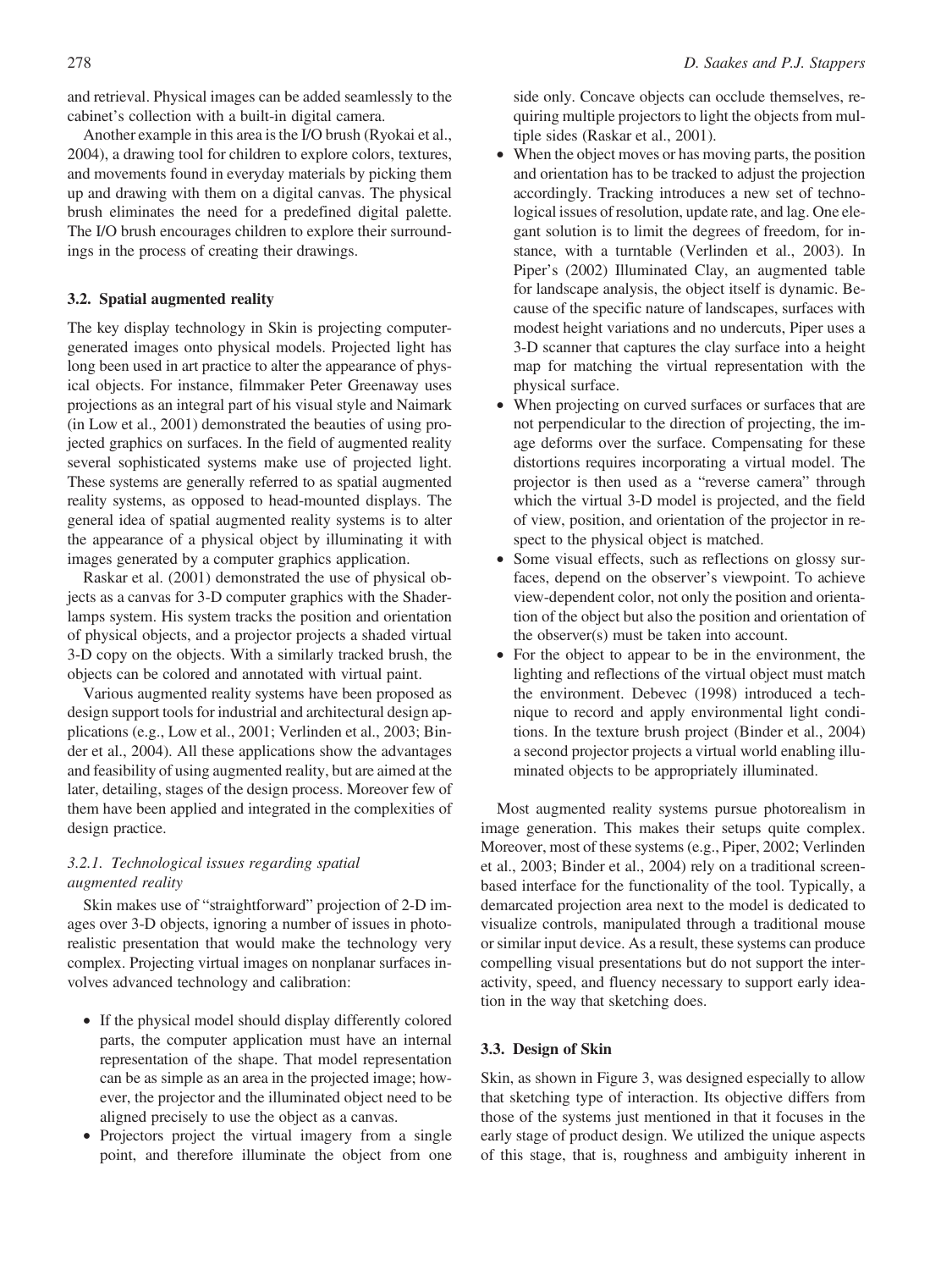and retrieval. Physical images can be added seamlessly to the cabinet's collection with a built-in digital camera.

Another example in this area is the I/O brush (Ryokai et al., 2004), a drawing tool for children to explore colors, textures, and movements found in everyday materials by picking them up and drawing with them on a digital canvas. The physical brush eliminates the need for a predefined digital palette. The I/O brush encourages children to explore their surroundings in the process of creating their drawings.

# 3.2. Spatial augmented reality

The key display technology in Skin is projecting computergenerated images onto physical models. Projected light has long been used in art practice to alter the appearance of physical objects. For instance, filmmaker Peter Greenaway uses projections as an integral part of his visual style and Naimark (in Low et al., 2001) demonstrated the beauties of using projected graphics on surfaces. In the field of augmented reality several sophisticated systems make use of projected light. These systems are generally referred to as spatial augmented reality systems, as opposed to head-mounted displays. The general idea of spatial augmented reality systems is to alter the appearance of a physical object by illuminating it with images generated by a computer graphics application.

Raskar et al. (2001) demonstrated the use of physical objects as a canvas for 3-D computer graphics with the Shaderlamps system. His system tracks the position and orientation of physical objects, and a projector projects a shaded virtual 3-D copy on the objects. With a similarly tracked brush, the objects can be colored and annotated with virtual paint.

Various augmented reality systems have been proposed as design support tools for industrial and architectural design applications (e.g., Low et al., 2001; Verlinden et al., 2003; Binder et al., 2004). All these applications show the advantages and feasibility of using augmented reality, but are aimed at the later, detailing, stages of the design process. Moreover few of them have been applied and integrated in the complexities of design practice.

# 3.2.1. Technological issues regarding spatial augmented reality

Skin makes use of "straightforward" projection of 2-D images over 3-D objects, ignoring a number of issues in photorealistic presentation that would make the technology very complex. Projecting virtual images on nonplanar surfaces involves advanced technology and calibration:

- If the physical model should display differently colored parts, the computer application must have an internal representation of the shape. That model representation can be as simple as an area in the projected image; however, the projector and the illuminated object need to be aligned precisely to use the object as a canvas.
- Projectors project the virtual imagery from a single point, and therefore illuminate the object from one

side only. Concave objects can occlude themselves, requiring multiple projectors to light the objects from multiple sides (Raskar et al., 2001).

- When the object moves or has moving parts, the position and orientation has to be tracked to adjust the projection accordingly. Tracking introduces a new set of technological issues of resolution, update rate, and lag. One elegant solution is to limit the degrees of freedom, for instance, with a turntable (Verlinden et al., 2003). In Piper's (2002) Illuminated Clay, an augmented table for landscape analysis, the object itself is dynamic. Because of the specific nature of landscapes, surfaces with modest height variations and no undercuts, Piper uses a 3-D scanner that captures the clay surface into a height map for matching the virtual representation with the physical surface.
- When projecting on curved surfaces or surfaces that are not perpendicular to the direction of projecting, the image deforms over the surface. Compensating for these distortions requires incorporating a virtual model. The projector is then used as a "reverse camera" through which the virtual 3-D model is projected, and the field of view, position, and orientation of the projector in respect to the physical object is matched.
- Some visual effects, such as reflections on glossy surfaces, depend on the observer's viewpoint. To achieve view-dependent color, not only the position and orientation of the object but also the position and orientation of the observer(s) must be taken into account.
- For the object to appear to be in the environment, the lighting and reflections of the virtual object must match the environment. Debevec (1998) introduced a technique to record and apply environmental light conditions. In the texture brush project (Binder et al., 2004) a second projector projects a virtual world enabling illuminated objects to be appropriately illuminated.

Most augmented reality systems pursue photorealism in image generation. This makes their setups quite complex. Moreover, most of these systems (e.g., Piper, 2002; Verlinden et al., 2003; Binder et al., 2004) rely on a traditional screenbased interface for the functionality of the tool. Typically, a demarcated projection area next to the model is dedicated to visualize controls, manipulated through a traditional mouse or similar input device. As a result, these systems can produce compelling visual presentations but do not support the interactivity, speed, and fluency necessary to support early ideation in the way that sketching does.

#### 3.3. Design of Skin

Skin, as shown in Figure 3, was designed especially to allow that sketching type of interaction. Its objective differs from those of the systems just mentioned in that it focuses in the early stage of product design. We utilized the unique aspects of this stage, that is, roughness and ambiguity inherent in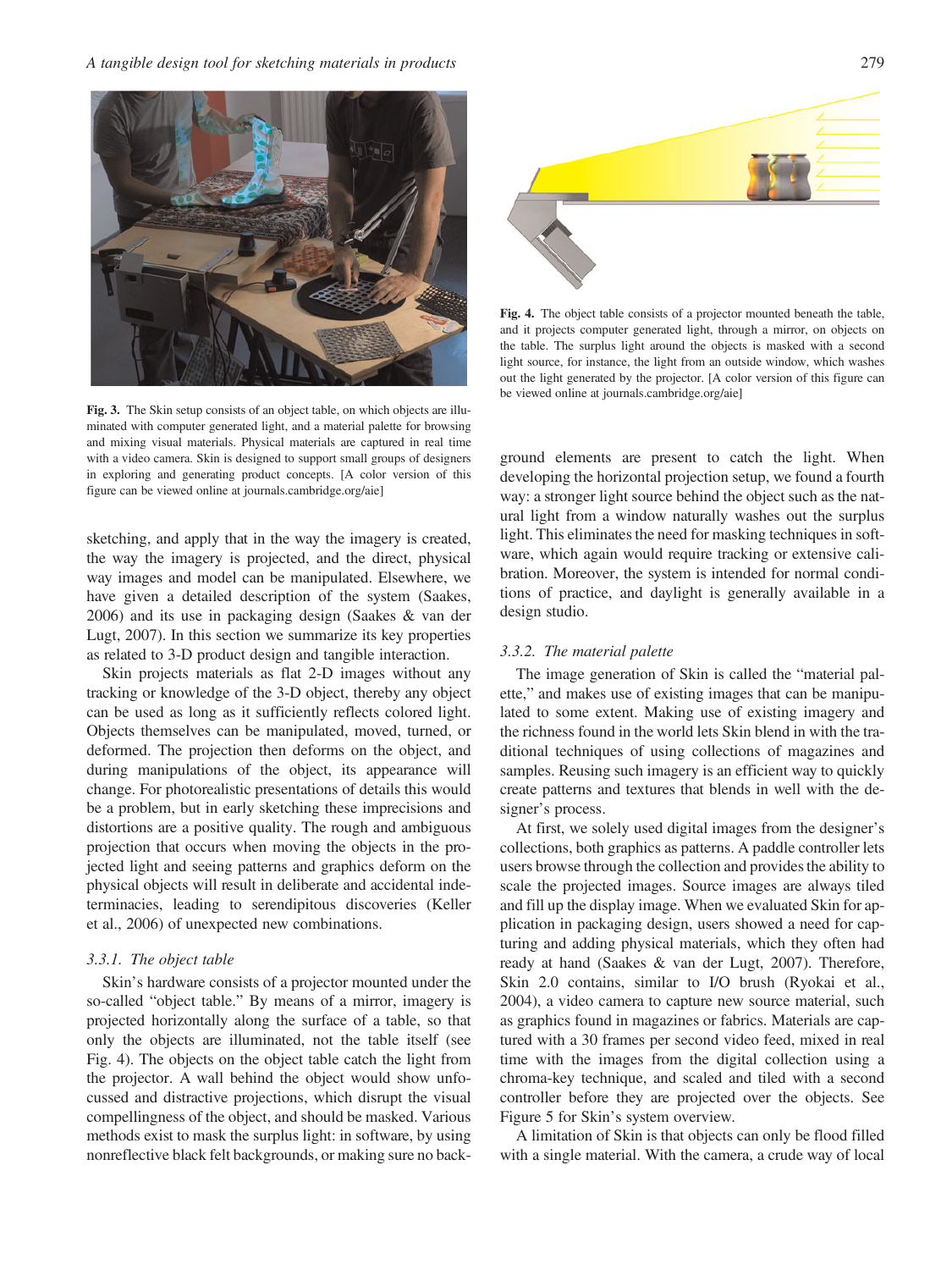

Fig. 3. The Skin setup consists of an object table, on which objects are illuminated with computer generated light, and a material palette for browsing and mixing visual materials. Physical materials are captured in real time with a video camera. Skin is designed to support small groups of designers in exploring and generating product concepts. [A color version of this figure can be viewed online at journals.cambridge.org/aie]

sketching, and apply that in the way the imagery is created, the way the imagery is projected, and the direct, physical way images and model can be manipulated. Elsewhere, we have given a detailed description of the system (Saakes, 2006) and its use in packaging design (Saakes & van der Lugt, 2007). In this section we summarize its key properties as related to 3-D product design and tangible interaction.

Skin projects materials as flat 2-D images without any tracking or knowledge of the 3-D object, thereby any object can be used as long as it sufficiently reflects colored light. Objects themselves can be manipulated, moved, turned, or deformed. The projection then deforms on the object, and during manipulations of the object, its appearance will change. For photorealistic presentations of details this would be a problem, but in early sketching these imprecisions and distortions are a positive quality. The rough and ambiguous projection that occurs when moving the objects in the projected light and seeing patterns and graphics deform on the physical objects will result in deliberate and accidental indeterminacies, leading to serendipitous discoveries (Keller et al., 2006) of unexpected new combinations.

#### 3.3.1. The object table

Skin's hardware consists of a projector mounted under the so-called "object table." By means of a mirror, imagery is projected horizontally along the surface of a table, so that only the objects are illuminated, not the table itself (see Fig. 4). The objects on the object table catch the light from the projector. A wall behind the object would show unfocussed and distractive projections, which disrupt the visual compellingness of the object, and should be masked. Various methods exist to mask the surplus light: in software, by using nonreflective black felt backgrounds, or making sure no back-



Fig. 4. The object table consists of a projector mounted beneath the table, and it projects computer generated light, through a mirror, on objects on the table. The surplus light around the objects is masked with a second light source, for instance, the light from an outside window, which washes out the light generated by the projector. [A color version of this figure can be viewed online at journals.cambridge.org/aie]

ground elements are present to catch the light. When developing the horizontal projection setup, we found a fourth way: a stronger light source behind the object such as the natural light from a window naturally washes out the surplus light. This eliminates the need for masking techniques in software, which again would require tracking or extensive calibration. Moreover, the system is intended for normal conditions of practice, and daylight is generally available in a design studio.

# 3.3.2. The material palette

The image generation of Skin is called the "material palette," and makes use of existing images that can be manipulated to some extent. Making use of existing imagery and the richness found in the world lets Skin blend in with the traditional techniques of using collections of magazines and samples. Reusing such imagery is an efficient way to quickly create patterns and textures that blends in well with the designer's process.

At first, we solely used digital images from the designer's collections, both graphics as patterns. A paddle controller lets users browse through the collection and provides the ability to scale the projected images. Source images are always tiled and fill up the display image. When we evaluated Skin for application in packaging design, users showed a need for capturing and adding physical materials, which they often had ready at hand (Saakes & van der Lugt, 2007). Therefore, Skin 2.0 contains, similar to I/O brush (Ryokai et al., 2004), a video camera to capture new source material, such as graphics found in magazines or fabrics. Materials are captured with a 30 frames per second video feed, mixed in real time with the images from the digital collection using a chroma-key technique, and scaled and tiled with a second controller before they are projected over the objects. See Figure 5 for Skin's system overview.

A limitation of Skin is that objects can only be flood filled with a single material. With the camera, a crude way of local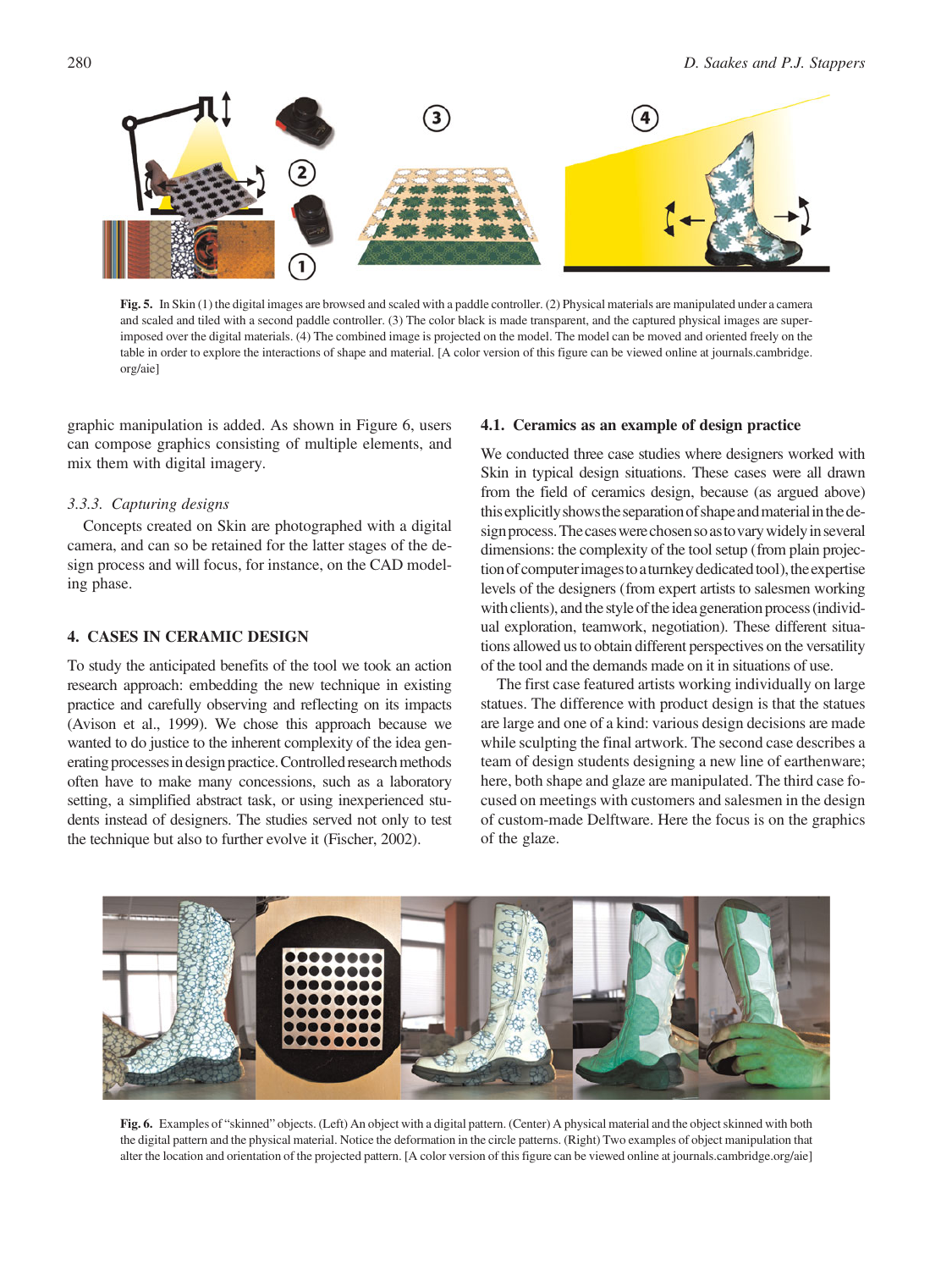

Fig. 5. In Skin (1) the digital images are browsed and scaled with a paddle controller. (2) Physical materials are manipulated under a camera and scaled and tiled with a second paddle controller. (3) The color black is made transparent, and the captured physical images are superimposed over the digital materials. (4) The combined image is projected on the model. The model can be moved and oriented freely on the table in order to explore the interactions of shape and material. [A color version of this figure can be viewed online at journals.cambridge. org/aie]

graphic manipulation is added. As shown in Figure 6, users can compose graphics consisting of multiple elements, and mix them with digital imagery.

# 3.3.3. Capturing designs

Concepts created on Skin are photographed with a digital camera, and can so be retained for the latter stages of the design process and will focus, for instance, on the CAD modeling phase.

# 4. CASES IN CERAMIC DESIGN

To study the anticipated benefits of the tool we took an action research approach: embedding the new technique in existing practice and carefully observing and reflecting on its impacts (Avison et al., 1999). We chose this approach because we wanted to do justice to the inherent complexity of the idea generating processes in design practice. Controlled research methods often have to make many concessions, such as a laboratory setting, a simplified abstract task, or using inexperienced students instead of designers. The studies served not only to test the technique but also to further evolve it (Fischer, 2002).

## 4.1. Ceramics as an example of design practice

We conducted three case studies where designers worked with Skin in typical design situations. These cases were all drawn from the field of ceramics design, because (as argued above) this explicitly shows the separation of shape and material in the design process. The cases were chosen so as to vary widely in several dimensions: the complexity of the tool setup (from plain projection of computer images to a turnkey dedicated tool), the expertise levels of the designers (from expert artists to salesmen working with clients), and the style of the idea generation process (individual exploration, teamwork, negotiation). These different situations allowed us to obtain different perspectives on the versatility of the tool and the demands made on it in situations of use.

The first case featured artists working individually on large statues. The difference with product design is that the statues are large and one of a kind: various design decisions are made while sculpting the final artwork. The second case describes a team of design students designing a new line of earthenware; here, both shape and glaze are manipulated. The third case focused on meetings with customers and salesmen in the design of custom-made Delftware. Here the focus is on the graphics of the glaze.



Fig. 6. Examples of "skinned" objects. (Left) An object with a digital pattern. (Center) A physical material and the object skinned with both the digital pattern and the physical material. Notice the deformation in the circle patterns. (Right) Two examples of object manipulation that alter the location and orientation of the projected pattern. [A color version of this figure can be viewed online at journals.cambridge.org/aie]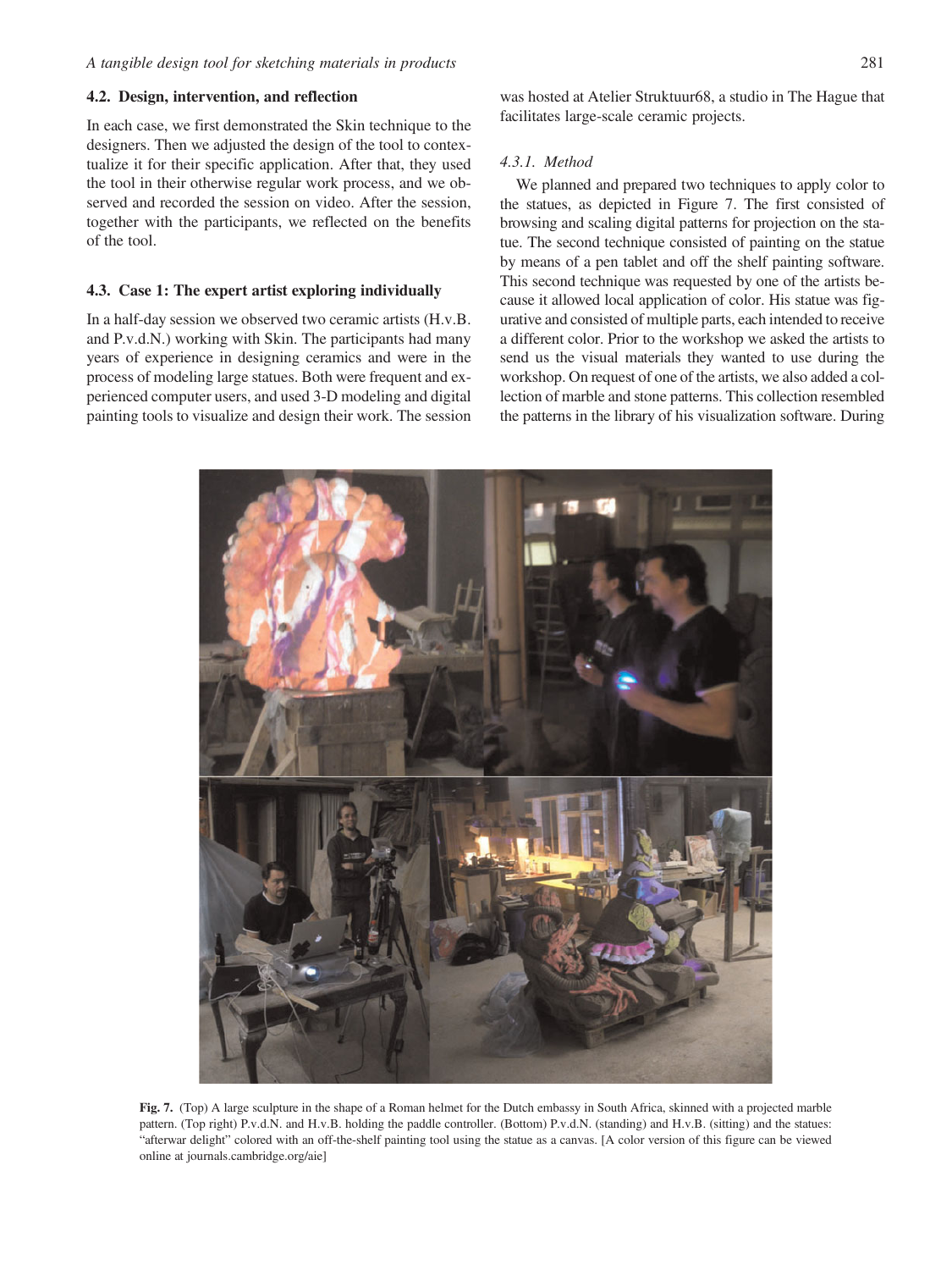# A tangible design tool for sketching materials in products 281

# 4.2. Design, intervention, and reflection

In each case, we first demonstrated the Skin technique to the designers. Then we adjusted the design of the tool to contextualize it for their specific application. After that, they used the tool in their otherwise regular work process, and we observed and recorded the session on video. After the session, together with the participants, we reflected on the benefits of the tool.

## 4.3. Case 1: The expert artist exploring individually

In a half-day session we observed two ceramic artists (H.v.B. and P.v.d.N.) working with Skin. The participants had many years of experience in designing ceramics and were in the process of modeling large statues. Both were frequent and experienced computer users, and used 3-D modeling and digital painting tools to visualize and design their work. The session

was hosted at Atelier Struktuur68, a studio in The Hague that facilitates large-scale ceramic projects.

#### 4.3.1. Method

We planned and prepared two techniques to apply color to the statues, as depicted in Figure 7. The first consisted of browsing and scaling digital patterns for projection on the statue. The second technique consisted of painting on the statue by means of a pen tablet and off the shelf painting software. This second technique was requested by one of the artists because it allowed local application of color. His statue was figurative and consisted of multiple parts, each intended to receive a different color. Prior to the workshop we asked the artists to send us the visual materials they wanted to use during the workshop. On request of one of the artists, we also added a collection of marble and stone patterns. This collection resembled the patterns in the library of his visualization software. During



Fig. 7. (Top) A large sculpture in the shape of a Roman helmet for the Dutch embassy in South Africa, skinned with a projected marble pattern. (Top right) P.v.d.N. and H.v.B. holding the paddle controller. (Bottom) P.v.d.N. (standing) and H.v.B. (sitting) and the statues: "afterwar delight" colored with an off-the-shelf painting tool using the statue as a canvas. [A color version of this figure can be viewed online at journals.cambridge.org/aie]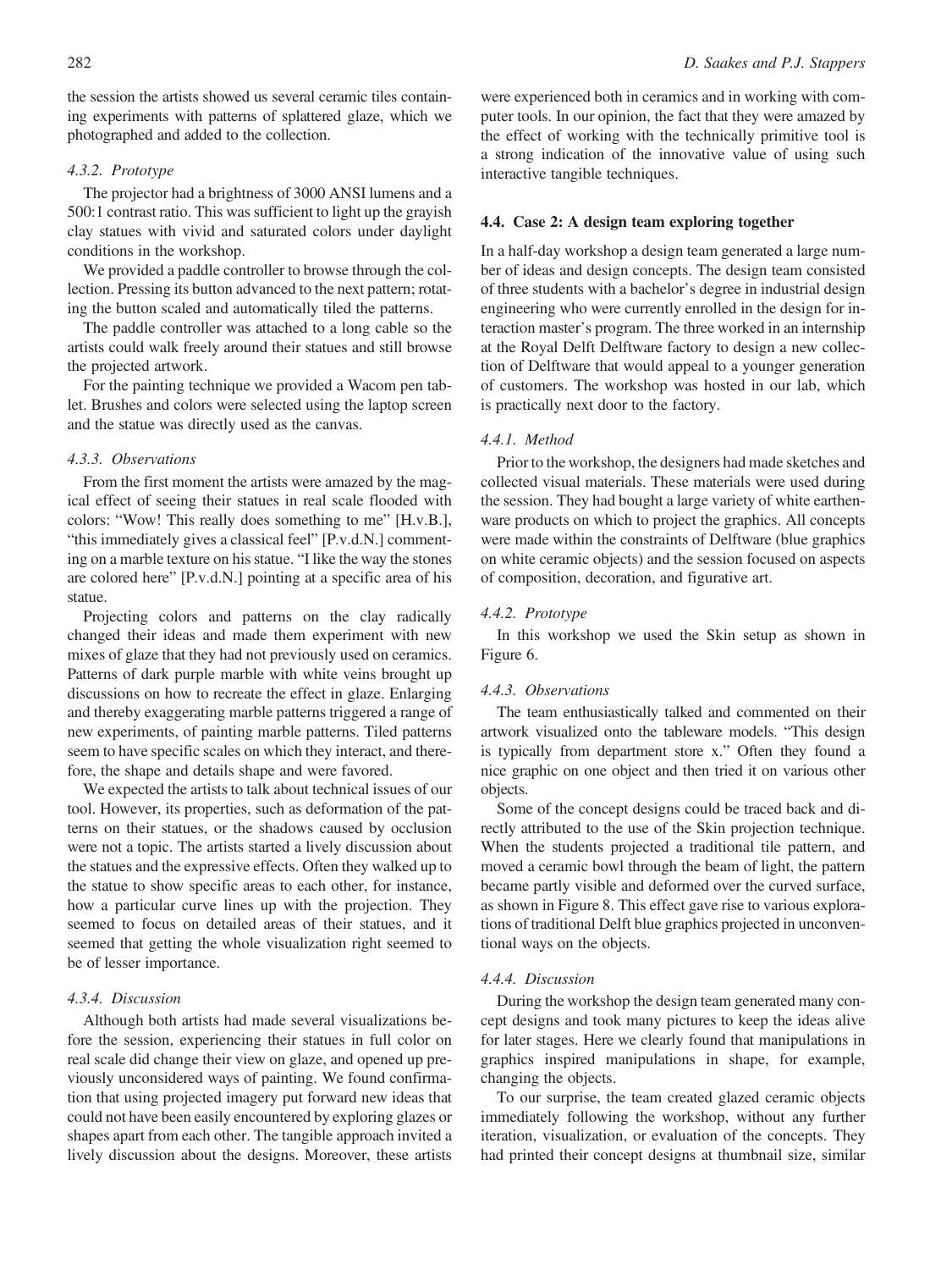# 4.3.2. Prototype

The projector had a brightness of 3000 ANSI lumens and a 500:1 contrast ratio. This was sufficient to light up the grayish clay statues with vivid and saturated colors under daylight conditions in the workshop.

We provided a paddle controller to browse through the collection. Pressing its button advanced to the next pattern; rotating the button scaled and automatically tiled the patterns.

The paddle controller was attached to a long cable so the artists could walk freely around their statues and still browse the projected artwork.

For the painting technique we provided a Wacom pen tablet. Brushes and colors were selected using the laptop screen and the statue was directly used as the canvas.

# 4.3.3. Observations

From the first moment the artists were amazed by the magical effect of seeing their statues in real scale flooded with colors: "Wow! This really does something to me" [H.v.B.], "this immediately gives a classical feel" [P.v.d.N.] commenting on a marble texture on his statue. "I like the way the stones are colored here" [P.v.d.N.] pointing at a specific area of his statue.

Projecting colors and patterns on the clay radically changed their ideas and made them experiment with new mixes of glaze that they had not previously used on ceramics. Patterns of dark purple marble with white veins brought up discussions on how to recreate the effect in glaze. Enlarging and thereby exaggerating marble patterns triggered a range of new experiments, of painting marble patterns. Tiled patterns seem to have specific scales on which they interact, and therefore, the shape and details shape and were favored.

We expected the artists to talk about technical issues of our tool. However, its properties, such as deformation of the patterns on their statues, or the shadows caused by occlusion were not a topic. The artists started a lively discussion about the statues and the expressive effects. Often they walked up to the statue to show specific areas to each other, for instance, how a particular curve lines up with the projection. They seemed to focus on detailed areas of their statues, and it seemed that getting the whole visualization right seemed to be of lesser importance.

# 4.3.4. Discussion

Although both artists had made several visualizations before the session, experiencing their statues in full color on real scale did change their view on glaze, and opened up previously unconsidered ways of painting. We found confirmation that using projected imagery put forward new ideas that could not have been easily encountered by exploring glazes or shapes apart from each other. The tangible approach invited a lively discussion about the designs. Moreover, these artists

were experienced both in ceramics and in working with computer tools. In our opinion, the fact that they were amazed by the effect of working with the technically primitive tool is a strong indication of the innovative value of using such interactive tangible techniques.

# 4.4. Case 2: A design team exploring together

In a half-day workshop a design team generated a large number of ideas and design concepts. The design team consisted of three students with a bachelor's degree in industrial design engineering who were currently enrolled in the design for interaction master's program. The three worked in an internship at the Royal Delft Delftware factory to design a new collection of Delftware that would appeal to a younger generation of customers. The workshop was hosted in our lab, which is practically next door to the factory.

# 4.4.1. Method

Prior to the workshop, the designers had made sketches and collected visual materials. These materials were used during the session. They had bought a large variety of white earthenware products on which to project the graphics. All concepts were made within the constraints of Delftware (blue graphics on white ceramic objects) and the session focused on aspects of composition, decoration, and figurative art.

# 4.4.2. Prototype

In this workshop we used the Skin setup as shown in Figure 6.

## 4.4.3. Observations

The team enthusiastically talked and commented on their artwork visualized onto the tableware models. "This design is typically from department store x." Often they found a nice graphic on one object and then tried it on various other objects.

Some of the concept designs could be traced back and directly attributed to the use of the Skin projection technique. When the students projected a traditional tile pattern, and moved a ceramic bowl through the beam of light, the pattern became partly visible and deformed over the curved surface, as shown in Figure 8. This effect gave rise to various explorations of traditional Delft blue graphics projected in unconventional ways on the objects.

#### 4.4.4. Discussion

During the workshop the design team generated many concept designs and took many pictures to keep the ideas alive for later stages. Here we clearly found that manipulations in graphics inspired manipulations in shape, for example, changing the objects.

To our surprise, the team created glazed ceramic objects immediately following the workshop, without any further iteration, visualization, or evaluation of the concepts. They had printed their concept designs at thumbnail size, similar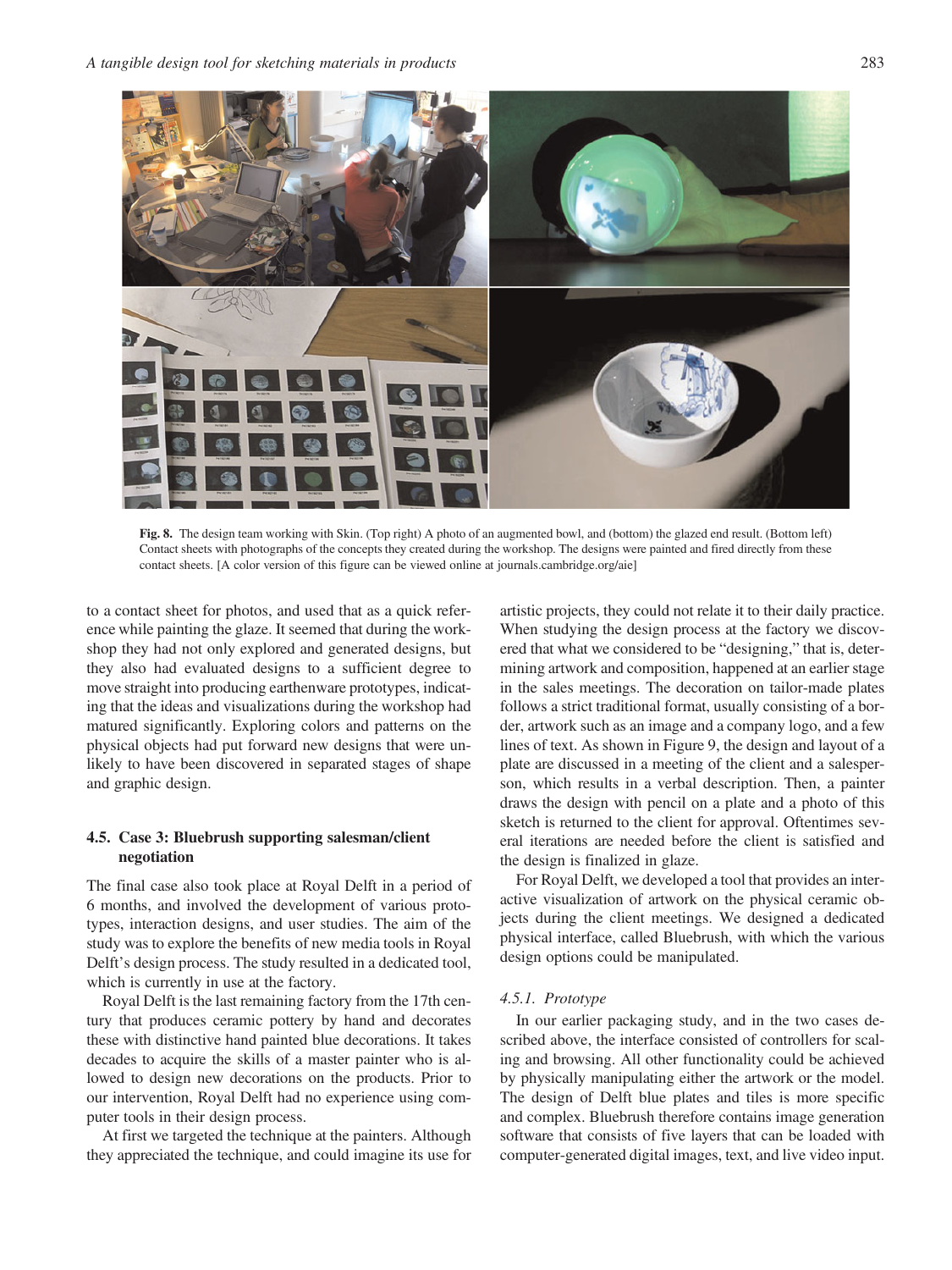

Fig. 8. The design team working with Skin. (Top right) A photo of an augmented bowl, and (bottom) the glazed end result. (Bottom left) Contact sheets with photographs of the concepts they created during the workshop. The designs were painted and fired directly from these contact sheets. [A color version of this figure can be viewed online at journals.cambridge.org/aie]

to a contact sheet for photos, and used that as a quick reference while painting the glaze. It seemed that during the workshop they had not only explored and generated designs, but they also had evaluated designs to a sufficient degree to move straight into producing earthenware prototypes, indicating that the ideas and visualizations during the workshop had matured significantly. Exploring colors and patterns on the physical objects had put forward new designs that were unlikely to have been discovered in separated stages of shape and graphic design.

# 4.5. Case 3: Bluebrush supporting salesman/client negotiation

The final case also took place at Royal Delft in a period of 6 months, and involved the development of various prototypes, interaction designs, and user studies. The aim of the study was to explore the benefits of new media tools in Royal Delft's design process. The study resulted in a dedicated tool, which is currently in use at the factory.

Royal Delft is the last remaining factory from the 17th century that produces ceramic pottery by hand and decorates these with distinctive hand painted blue decorations. It takes decades to acquire the skills of a master painter who is allowed to design new decorations on the products. Prior to our intervention, Royal Delft had no experience using computer tools in their design process.

At first we targeted the technique at the painters. Although they appreciated the technique, and could imagine its use for

artistic projects, they could not relate it to their daily practice. When studying the design process at the factory we discovered that what we considered to be "designing," that is, determining artwork and composition, happened at an earlier stage in the sales meetings. The decoration on tailor-made plates follows a strict traditional format, usually consisting of a border, artwork such as an image and a company logo, and a few lines of text. As shown in Figure 9, the design and layout of a plate are discussed in a meeting of the client and a salesperson, which results in a verbal description. Then, a painter draws the design with pencil on a plate and a photo of this sketch is returned to the client for approval. Oftentimes several iterations are needed before the client is satisfied and the design is finalized in glaze.

For Royal Delft, we developed a tool that provides an interactive visualization of artwork on the physical ceramic objects during the client meetings. We designed a dedicated physical interface, called Bluebrush, with which the various design options could be manipulated.

#### 4.5.1. Prototype

In our earlier packaging study, and in the two cases described above, the interface consisted of controllers for scaling and browsing. All other functionality could be achieved by physically manipulating either the artwork or the model. The design of Delft blue plates and tiles is more specific and complex. Bluebrush therefore contains image generation software that consists of five layers that can be loaded with computer-generated digital images, text, and live video input.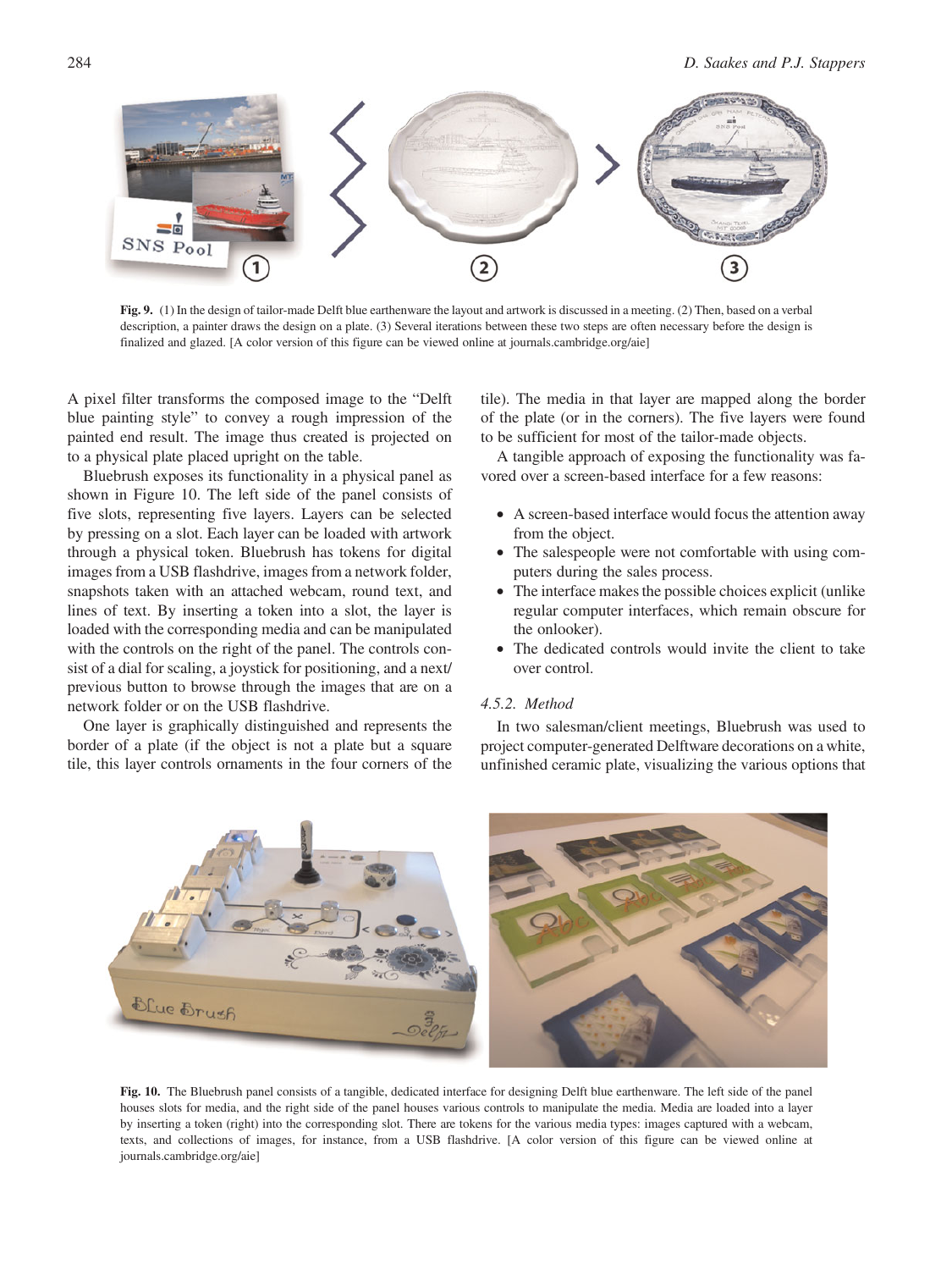

Fig. 9. (1) In the design of tailor-made Delft blue earthenware the layout and artwork is discussed in a meeting. (2) Then, based on a verbal description, a painter draws the design on a plate. (3) Several iterations between these two steps are often necessary before the design is finalized and glazed. [A color version of this figure can be viewed online at journals.cambridge.org/aie]

A pixel filter transforms the composed image to the "Delft blue painting style" to convey a rough impression of the painted end result. The image thus created is projected on to a physical plate placed upright on the table.

Bluebrush exposes its functionality in a physical panel as shown in Figure 10. The left side of the panel consists of five slots, representing five layers. Layers can be selected by pressing on a slot. Each layer can be loaded with artwork through a physical token. Bluebrush has tokens for digital images from a USB flashdrive, images from a network folder, snapshots taken with an attached webcam, round text, and lines of text. By inserting a token into a slot, the layer is loaded with the corresponding media and can be manipulated with the controls on the right of the panel. The controls consist of a dial for scaling, a joystick for positioning, and a next/ previous button to browse through the images that are on a network folder or on the USB flashdrive.

One layer is graphically distinguished and represents the border of a plate (if the object is not a plate but a square tile, this layer controls ornaments in the four corners of the tile). The media in that layer are mapped along the border of the plate (or in the corners). The five layers were found to be sufficient for most of the tailor-made objects.

A tangible approach of exposing the functionality was favored over a screen-based interface for a few reasons:

- † A screen-based interface would focus the attention away from the object.
- The salespeople were not comfortable with using computers during the sales process.
- The interface makes the possible choices explicit (unlike regular computer interfaces, which remain obscure for the onlooker).
- The dedicated controls would invite the client to take over control.

# 4.5.2. Method

In two salesman/client meetings, Bluebrush was used to project computer-generated Delftware decorations on a white, unfinished ceramic plate, visualizing the various options that



Fig. 10. The Bluebrush panel consists of a tangible, dedicated interface for designing Delft blue earthenware. The left side of the panel houses slots for media, and the right side of the panel houses various controls to manipulate the media. Media are loaded into a layer by inserting a token (right) into the corresponding slot. There are tokens for the various media types: images captured with a webcam, texts, and collections of images, for instance, from a USB flashdrive. [A color version of this figure can be viewed online at journals.cambridge.org/aie]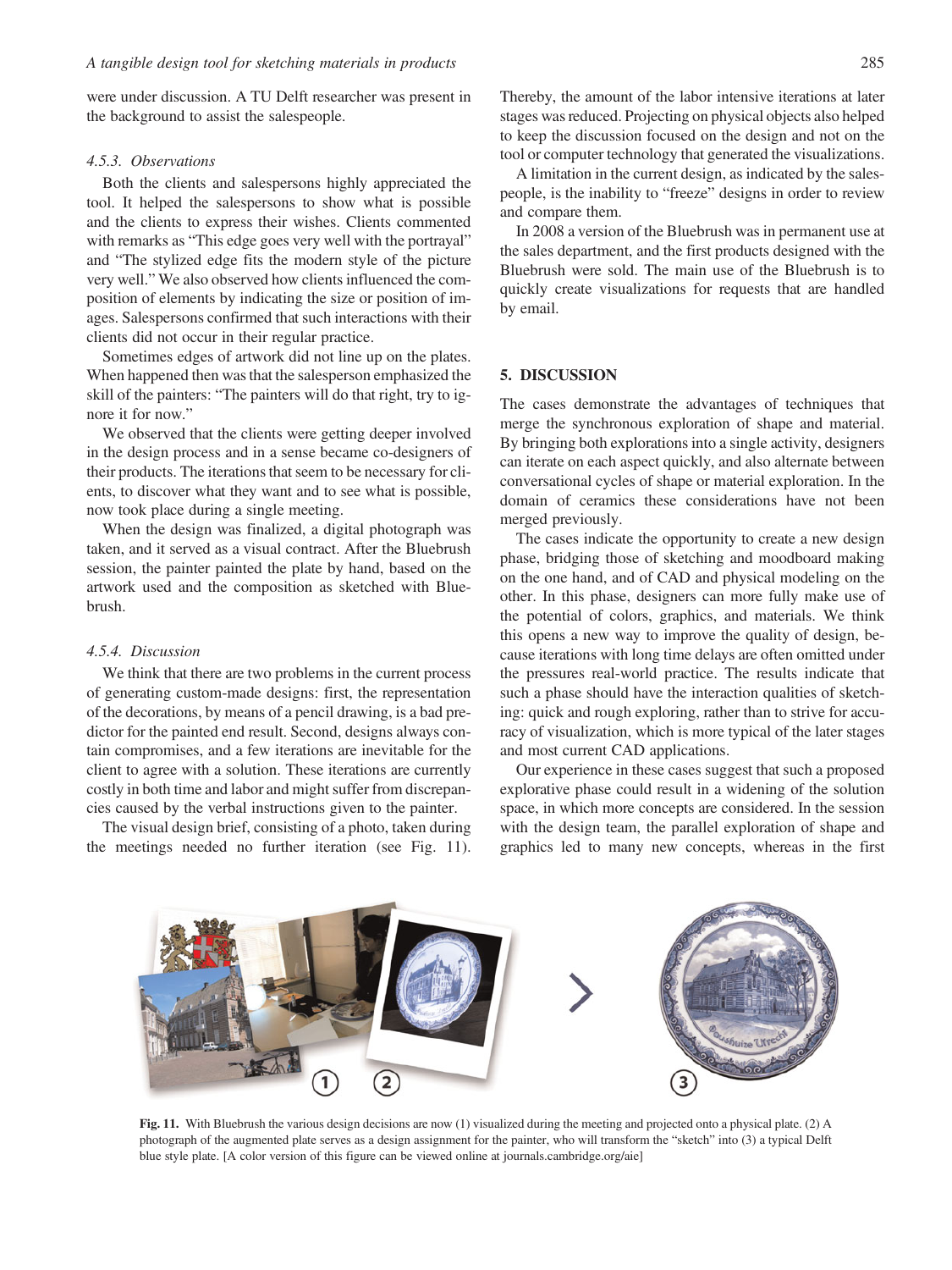were under discussion. A TU Delft researcher was present in the background to assist the salespeople.

#### 4.5.3. Observations

Both the clients and salespersons highly appreciated the tool. It helped the salespersons to show what is possible and the clients to express their wishes. Clients commented with remarks as "This edge goes very well with the portrayal" and "The stylized edge fits the modern style of the picture very well." We also observed how clients influenced the composition of elements by indicating the size or position of images. Salespersons confirmed that such interactions with their clients did not occur in their regular practice.

Sometimes edges of artwork did not line up on the plates. When happened then was that the salesperson emphasized the skill of the painters: "The painters will do that right, try to ignore it for now."

We observed that the clients were getting deeper involved in the design process and in a sense became co-designers of their products. The iterations that seem to be necessary for clients, to discover what they want and to see what is possible, now took place during a single meeting.

When the design was finalized, a digital photograph was taken, and it served as a visual contract. After the Bluebrush session, the painter painted the plate by hand, based on the artwork used and the composition as sketched with Bluebrush.

## 4.5.4. Discussion

We think that there are two problems in the current process of generating custom-made designs: first, the representation of the decorations, by means of a pencil drawing, is a bad predictor for the painted end result. Second, designs always contain compromises, and a few iterations are inevitable for the client to agree with a solution. These iterations are currently costly in both time and labor and might suffer from discrepancies caused by the verbal instructions given to the painter.

The visual design brief, consisting of a photo, taken during the meetings needed no further iteration (see Fig. 11). Thereby, the amount of the labor intensive iterations at later stages was reduced. Projecting on physical objects also helped to keep the discussion focused on the design and not on the tool or computer technology that generated the visualizations.

A limitation in the current design, as indicated by the salespeople, is the inability to "freeze" designs in order to review and compare them.

In 2008 a version of the Bluebrush was in permanent use at the sales department, and the first products designed with the Bluebrush were sold. The main use of the Bluebrush is to quickly create visualizations for requests that are handled by email.

# 5. DISCUSSION

The cases demonstrate the advantages of techniques that merge the synchronous exploration of shape and material. By bringing both explorations into a single activity, designers can iterate on each aspect quickly, and also alternate between conversational cycles of shape or material exploration. In the domain of ceramics these considerations have not been merged previously.

The cases indicate the opportunity to create a new design phase, bridging those of sketching and moodboard making on the one hand, and of CAD and physical modeling on the other. In this phase, designers can more fully make use of the potential of colors, graphics, and materials. We think this opens a new way to improve the quality of design, because iterations with long time delays are often omitted under the pressures real-world practice. The results indicate that such a phase should have the interaction qualities of sketching: quick and rough exploring, rather than to strive for accuracy of visualization, which is more typical of the later stages and most current CAD applications.

Our experience in these cases suggest that such a proposed explorative phase could result in a widening of the solution space, in which more concepts are considered. In the session with the design team, the parallel exploration of shape and graphics led to many new concepts, whereas in the first



Fig. 11. With Bluebrush the various design decisions are now (1) visualized during the meeting and projected onto a physical plate. (2) A photograph of the augmented plate serves as a design assignment for the painter, who will transform the "sketch" into (3) a typical Delft blue style plate. [A color version of this figure can be viewed online at journals.cambridge.org/aie]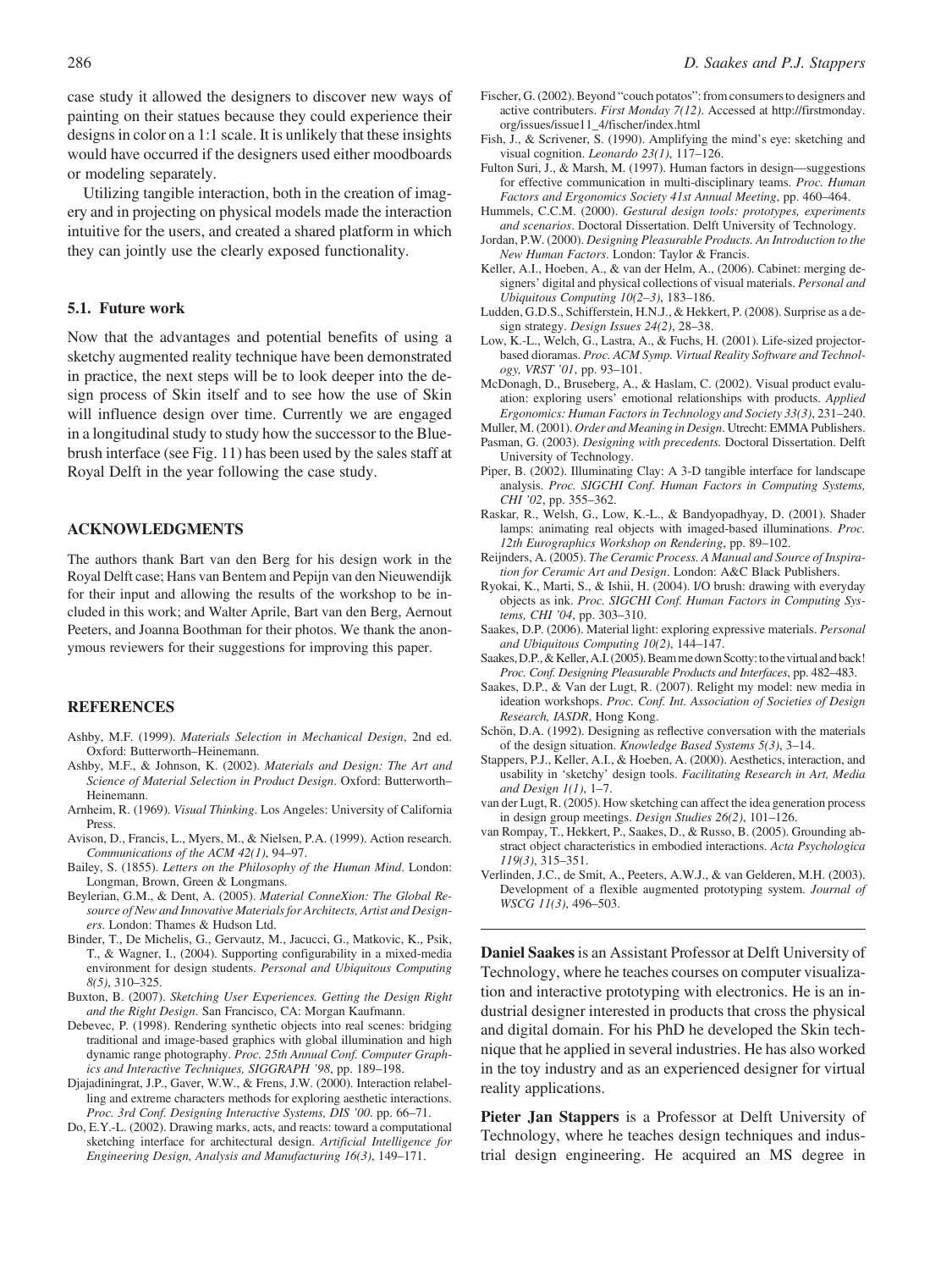case study it allowed the designers to discover new ways of painting on their statues because they could experience their designs in color on a 1:1 scale. It is unlikely that these insights would have occurred if the designers used either moodboards or modeling separately.

Utilizing tangible interaction, both in the creation of imagery and in projecting on physical models made the interaction intuitive for the users, and created a shared platform in which they can jointly use the clearly exposed functionality.

# 5.1. Future work

Now that the advantages and potential benefits of using a sketchy augmented reality technique have been demonstrated in practice, the next steps will be to look deeper into the design process of Skin itself and to see how the use of Skin will influence design over time. Currently we are engaged in a longitudinal study to study how the successor to the Bluebrush interface (see Fig. 11) has been used by the sales staff at Royal Delft in the year following the case study.

# ACKNOWLEDGMENTS

The authors thank Bart van den Berg for his design work in the Royal Delft case; Hans van Bentem and Pepijn van den Nieuwendijk for their input and allowing the results of the workshop to be included in this work; and Walter Aprile, Bart van den Berg, Aernout Peeters, and Joanna Boothman for their photos. We thank the anonymous reviewers for their suggestions for improving this paper.

## REFERENCES

- Ashby, M.F. (1999). Materials Selection in Mechanical Design, 2nd ed. Oxford: Butterworth–Heinemann.
- Ashby, M.F., & Johnson, K. (2002). Materials and Design: The Art and Science of Material Selection in Product Design. Oxford: Butterworth– Heinemann.
- Arnheim, R. (1969). Visual Thinking. Los Angeles: University of California Press.
- Avison, D., Francis, L., Myers, M., & Nielsen, P.A. (1999). Action research. Communications of the ACM 42(1), 94–97.
- Bailey, S. (1855). Letters on the Philosophy of the Human Mind. London: Longman, Brown, Green & Longmans.
- Beylerian, G.M., & Dent, A. (2005). Material ConneXion: The Global Resource of New and Innovative Materials for Architects, Artist and Designers. London: Thames & Hudson Ltd.
- Binder, T., De Michelis, G., Gervautz, M., Jacucci, G., Matkovic, K., Psik, T., & Wagner, I., (2004). Supporting configurability in a mixed-media environment for design students. Personal and Ubiquitous Computing 8(5), 310–325.
- Buxton, B. (2007). Sketching User Experiences. Getting the Design Right and the Right Design. San Francisco, CA: Morgan Kaufmann.
- Debevec, P. (1998). Rendering synthetic objects into real scenes: bridging traditional and image-based graphics with global illumination and high dynamic range photography. Proc. 25th Annual Conf. Computer Graphics and Interactive Techniques, SIGGRAPH '98, pp. 189–198.
- Djajadiningrat, J.P., Gaver, W.W., & Frens, J.W. (2000). Interaction relabelling and extreme characters methods for exploring aesthetic interactions. Proc. 3rd Conf. Designing Interactive Systems, DIS '00. pp. 66–71.
- Do, E.Y.-L. (2002). Drawing marks, acts, and reacts: toward a computational sketching interface for architectural design. Artificial Intelligence for Engineering Design, Analysis and Manufacturing 16(3), 149–171.
- Fischer, G. (2002). Beyond "couch potatos": from consumers to designers and active contributers. First Monday 7(12). Accessed at http://firstmonday. org/issues/issue11\_4/fischer/index.html
- Fish, J., & Scrivener, S. (1990). Amplifying the mind's eye: sketching and visual cognition. Leonardo 23(1), 117-126.
- Fulton Suri, J., & Marsh, M. (1997). Human factors in design—suggestions for effective communication in multi-disciplinary teams. Proc. Human Factors and Ergonomics Society 41st Annual Meeting, pp. 460–464.
- Hummels, C.C.M. (2000). Gestural design tools: prototypes, experiments and scenarios. Doctoral Dissertation. Delft University of Technology.
- Jordan, P.W. (2000). Designing Pleasurable Products. An Introduction to the New Human Factors. London: Taylor & Francis.
- Keller, A.I., Hoeben, A., & van der Helm, A., (2006). Cabinet: merging designers' digital and physical collections of visual materials. Personal and Ubiquitous Computing 10(2–3), 183–186.
- Ludden, G.D.S., Schifferstein, H.N.J., & Hekkert, P. (2008). Surprise as a design strategy. Design Issues 24(2), 28–38.
- Low, K.-L., Welch, G., Lastra, A., & Fuchs, H. (2001). Life-sized projectorbased dioramas. Proc. ACM Symp. Virtual Reality Software and Technology, VRST '01, pp. 93–101.
- McDonagh, D., Bruseberg, A., & Haslam, C. (2002). Visual product evaluation: exploring users' emotional relationships with products. Applied Ergonomics: Human Factors in Technology and Society 33(3), 231–240.
- Muller, M. (2001). Order and Meaning in Design. Utrecht: EMMA Publishers.
- Pasman, G. (2003). Designing with precedents. Doctoral Dissertation. Delft University of Technology.
- Piper, B. (2002). Illuminating Clay: A 3-D tangible interface for landscape analysis. Proc. SIGCHI Conf. Human Factors in Computing Systems, CHI '02, pp. 355–362.
- Raskar, R., Welsh, G., Low, K.-L., & Bandyopadhyay, D. (2001). Shader lamps: animating real objects with imaged-based illuminations. Proc. 12th Eurographics Workshop on Rendering, pp. 89–102.
- Reijnders, A. (2005). The Ceramic Process. A Manual and Source of Inspiration for Ceramic Art and Design. London: A&C Black Publishers.
- Ryokai, K., Marti, S., & Ishii, H. (2004). I/O brush: drawing with everyday objects as ink. Proc. SIGCHI Conf. Human Factors in Computing Systems, CHI '04, pp. 303-310.
- Saakes, D.P. (2006). Material light: exploring expressive materials. Personal and Ubiquitous Computing 10(2), 144–147.
- Saakes, D.P., & Keller, A.I. (2005). Beam me down Scotty: to the virtual and back! Proc. Conf. Designing Pleasurable Products and Interfaces, pp. 482–483.
- Saakes, D.P., & Van der Lugt, R. (2007). Relight my model: new media in ideation workshops. Proc. Conf. Int. Association of Societies of Design Research, IASDR, Hong Kong.
- Schön, D.A. (1992). Designing as reflective conversation with the materials of the design situation. Knowledge Based Systems 5(3), 3–14.
- Stappers, P.J., Keller, A.I., & Hoeben, A. (2000). Aesthetics, interaction, and usability in 'sketchy' design tools. Facilitating Research in Art, Media and Design  $1(1)$ , 1-7.
- van der Lugt, R. (2005). How sketching can affect the idea generation process in design group meetings. Design Studies 26(2), 101–126.
- van Rompay, T., Hekkert, P., Saakes, D., & Russo, B. (2005). Grounding abstract object characteristics in embodied interactions. Acta Psychologica 119(3), 315–351.
- Verlinden, J.C., de Smit, A., Peeters, A.W.J., & van Gelderen, M.H. (2003). Development of a flexible augmented prototyping system. Journal of WSCG 11(3), 496–503.

Daniel Saakes is an Assistant Professor at Delft University of Technology, where he teaches courses on computer visualization and interactive prototyping with electronics. He is an industrial designer interested in products that cross the physical and digital domain. For his PhD he developed the Skin technique that he applied in several industries. He has also worked in the toy industry and as an experienced designer for virtual reality applications.

Pieter Jan Stappers is a Professor at Delft University of Technology, where he teaches design techniques and industrial design engineering. He acquired an MS degree in